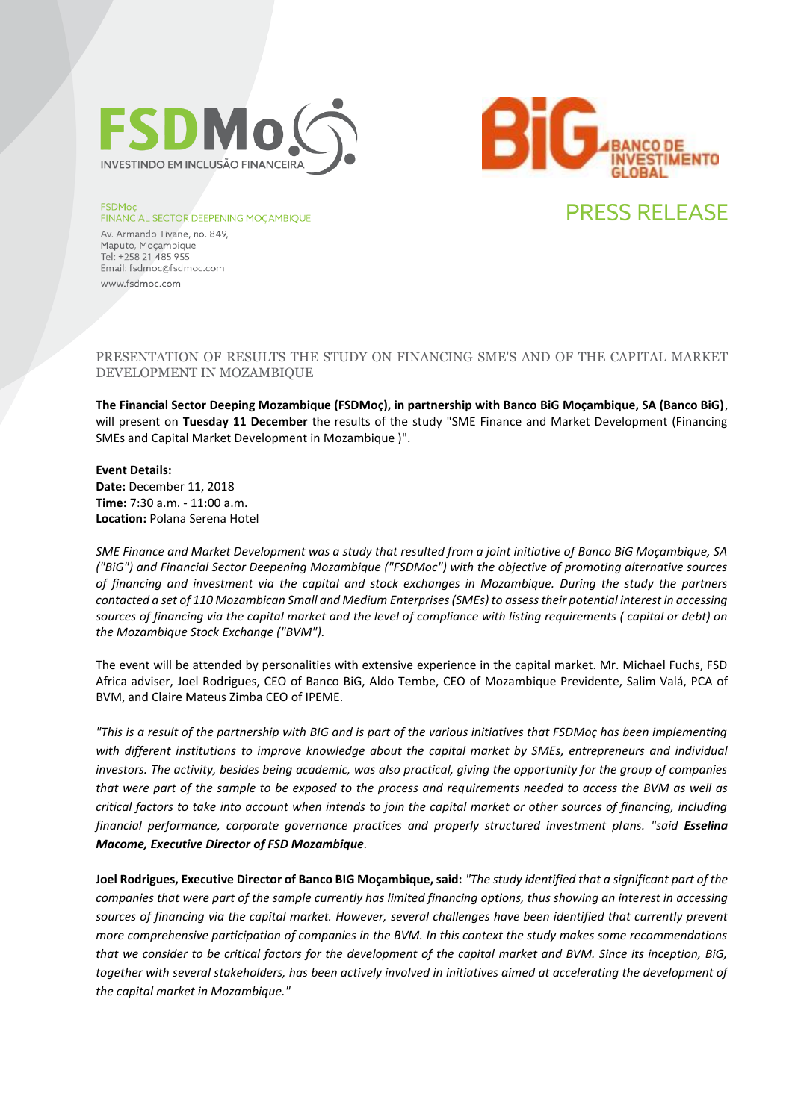



#### **FSDMoc**

#### **FINANCIAL SECTOR DEEPENING MOÇAMBIQUE**

Av. Armando Tivane, no. 849, Maputo, Mocambique Tel: +258 21 485 955 Email: fsdmoc@fsdmoc.com www.fsdmoc.com

# PRESENTATION OF RESULTS THE STUDY ON FINANCING SME'S AND OF THE CAPITAL MARKET DEVELOPMENT IN MOZAMBIQUE

**The Financial Sector Deeping Mozambique (FSDMoç), in partnership with Banco BiG Moçambique, SA (Banco BiG)**, will present on **Tuesday 11 December** the results of the study "SME Finance and Market Development (Financing SMEs and Capital Market Development in Mozambique )".

### **Event Details:**

**Date:** December 11, 2018 **Time:** 7:30 a.m. - 11:00 a.m. **Location:** Polana Serena Hotel

*SME Finance and Market Development was a study that resulted from a joint initiative of Banco BiG Moçambique, SA ("BiG") and Financial Sector Deepening Mozambique ("FSDMoc") with the objective of promoting alternative sources of financing and investment via the capital and stock exchanges in Mozambique. During the study the partners contacted a set of 110 Mozambican Small and Medium Enterprises (SMEs) to assess their potential interest in accessing sources of financing via the capital market and the level of compliance with listing requirements ( capital or debt) on the Mozambique Stock Exchange ("BVM").* 

The event will be attended by personalities with extensive experience in the capital market. Mr. Michael Fuchs, FSD Africa adviser, Joel Rodrigues, CEO of Banco BiG, Aldo Tembe, CEO of Mozambique Previdente, Salim Valá, PCA of BVM, and Claire Mateus Zimba CEO of IPEME.

*"This is a result of the partnership with BIG and is part of the various initiatives that FSDMoç has been implementing with different institutions to improve knowledge about the capital market by SMEs, entrepreneurs and individual investors. The activity, besides being academic, was also practical, giving the opportunity for the group of companies that were part of the sample to be exposed to the process and requirements needed to access the BVM as well as critical factors to take into account when intends to join the capital market or other sources of financing, including financial performance, corporate governance practices and properly structured investment plans. "said Esselina Macome, Executive Director of FSD Mozambique.*

**Joel Rodrigues, Executive Director of Banco BIG Moçambique, said:** *"The study identified that a significant part of the companies that were part of the sample currently has limited financing options, thus showing an interest in accessing sources of financing via the capital market. However, several challenges have been identified that currently prevent more comprehensive participation of companies in the BVM. In this context the study makes some recommendations that we consider to be critical factors for the development of the capital market and BVM. Since its inception, BiG, together with several stakeholders, has been actively involved in initiatives aimed at accelerating the development of the capital market in Mozambique."*